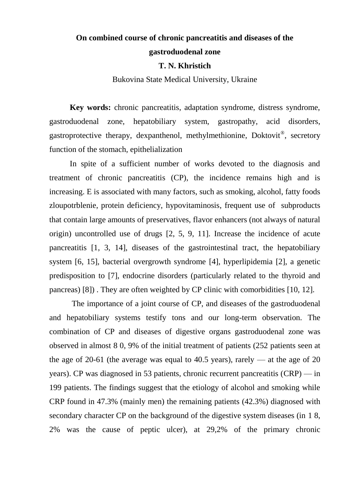## **On combined course of chronic pancreatitis and diseases of the gastroduodenal zone**

#### **T. N. Khristich**

Bukovina State Medical University, Ukraine

**Key words:** chronic pancreatitis, adaptation syndrome, distress syndrome, gastroduodenal zone, hepatobiliary system, gastropathy, acid disorders, gastroprotective therapy, dexpanthenol, methylmethionine, Doktovit<sup>®</sup>, secretory function of the stomach, epithelialization

In spite of a sufficient number of works devoted to the diagnosis and treatment of chronic pancreatitis (CP), the incidence remains high and is increasing. E is associated with many factors, such as smoking, alcohol, fatty foods zloupotrblenie, protein deficiency, hypovitaminosis, frequent use of subproducts that contain large amounts of preservatives, flavor enhancers (not always of natural origin) uncontrolled use of drugs [2, 5, 9, 11]. Increase the incidence of acute pancreatitis [1, 3, 14], diseases of the gastrointestinal tract, the hepatobiliary system [6, 15], bacterial overgrowth syndrome [4], hyperlipidemia [2], a genetic predisposition to [7], endocrine disorders (particularly related to the thyroid and pancreas) [8]) . They are often weighted by CP clinic with comorbidities [10, 12].

The importance of a joint course of CP, and diseases of the gastroduodenal and hepatobiliary systems testify tons and our long-term observation. The combination of CP and diseases of digestive organs gastroduodenal zone was observed in almost 8 0, 9% of the initial treatment of patients (252 patients seen at the age of 20-61 (the average was equal to 40.5 years), rarely — at the age of 20 years). CP was diagnosed in 53 patients, chronic recurrent pancreatitis (CRP) — in 199 patients. The findings suggest that the etiology of alcohol and smoking while CRP found in 47.3% (mainly men) the remaining patients (42.3%) diagnosed with secondary character CP on the background of the digestive system diseases (in 1 8, 2% was the cause of peptic ulcer), at 29,2% of the primary chronic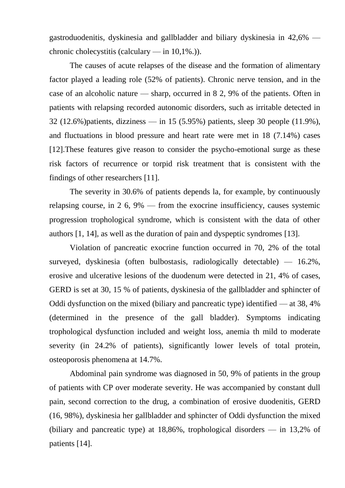gastroduodenitis, dyskinesia and gallbladder and biliary dyskinesia in 42,6% chronic cholecystitis (calculary — in 10,1%.)).

The causes of acute relapses of the disease and the formation of alimentary factor played a leading role (52% of patients). Chronic nerve tension, and in the case of an alcoholic nature — sharp, occurred in 8 2, 9% of the patients. Often in patients with relapsing recorded autonomic disorders, such as irritable detected in 32 (12.6%)patients, dizziness — in 15 (5.95%) patients, sleep 30 people (11.9%), and fluctuations in blood pressure and heart rate were met in 18 (7.14%) cases [12].These features give reason to consider the psycho-emotional surge as these risk factors of recurrence or torpid risk treatment that is consistent with the findings of other researchers [11].

The severity in 30.6% of patients depends la, for example, by continuously relapsing course, in 2 6, 9% — from the exocrine insufficiency, causes systemic progression trophological syndrome, which is consistent with the data of other authors [1, 14], as well as the duration of pain and dyspeptic syndromes [13].

Violation of pancreatic exocrine function occurred in 70, 2% of the total surveyed, dyskinesia (often bulbostasis, radiologically detectable) — 16.2%, erosive and ulcerative lesions of the duodenum were detected in 21, 4% of cases, GERD is set at 30, 15 % of patients, dyskinesia of the gallbladder and sphincter of Oddi dysfunction on the mixed (biliary and pancreatic type) identified — at 38, 4% (determined in the presence of the gall bladder). Symptoms indicating trophological dysfunction included and weight loss, anemia th mild to moderate severity (in 24.2% of patients), significantly lower levels of total protein, osteoporosis phenomena at 14.7%.

Abdominal pain syndrome was diagnosed in 50, 9% of patients in the group of patients with CP over moderate severity. He was accompanied by constant dull pain, second correction to the drug, a combination of erosive duodenitis, GERD (16, 98%), dyskinesia her gallbladder and sphincter of Oddi dysfunction the mixed (biliary and pancreatic type) at 18,86%, trophological disorders — in 13,2% of patients [14].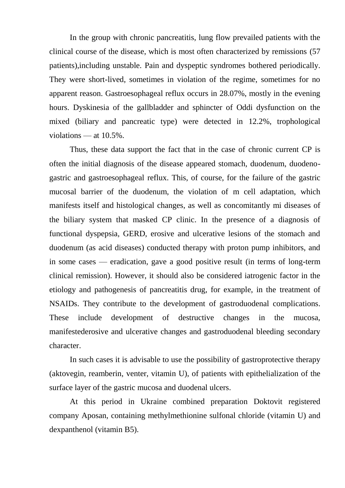In the group with chronic pancreatitis, lung flow prevailed patients with the clinical course of the disease, which is most often characterized by remissions (57 patients),including unstable. Pain and dyspeptic syndromes bothered periodically. They were short-lived, sometimes in violation of the regime, sometimes for no apparent reason. Gastroesophageal reflux occurs in 28.07%, mostly in the evening hours. Dyskinesia of the gallbladder and sphincter of Oddi dysfunction on the mixed (biliary and pancreatic type) were detected in 12.2%, trophological violations — at 10.5%.

Thus, these data support the fact that in the case of chronic current CP is often the initial diagnosis of the disease appeared stomach, duodenum, duodenogastric and gastroesophageal reflux. This, of course, for the failure of the gastric mucosal barrier of the duodenum, the violation of m cell adaptation, which manifests itself and histological changes, as well as concomitantly mi diseases of the biliary system that masked CP clinic. In the presence of a diagnosis of functional dyspepsia, GERD, erosive and ulcerative lesions of the stomach and duodenum (as acid diseases) conducted therapy with proton pump inhibitors, and in some cases — eradication, gave a good positive result (in terms of long-term clinical remission). However, it should also be considered iatrogenic factor in the etiology and pathogenesis of pancreatitis drug, for example, in the treatment of NSAIDs. They contribute to the development of gastroduodenal complications. These include development of destructive changes in the mucosa, manifestederosive and ulcerative changes and gastroduodenal bleeding secondary character.

In such cases it is advisable to use the possibility of gastroprotective therapy (aktovegin, reamberin, venter, vitamin U), of patients with epithelialization of the surface layer of the gastric mucosa and duodenal ulcers.

At this period in Ukraine combined preparation Doktovit registered company Aposan, containing methylmethionine sulfonal chloride (vitamin U) and dexpanthenol (vitamin B5).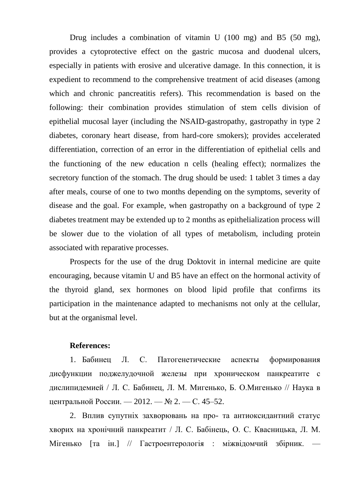Drug includes a combination of vitamin U (100 mg) and B5 (50 mg), provides a cytoprotective effect on the gastric mucosa and duodenal ulcers, especially in patients with erosive and ulcerative damage. In this connection, it is expedient to recommend to the comprehensive treatment of acid diseases (among which and chronic pancreatitis refers). This recommendation is based on the following: their combination provides stimulation of stem cells division of epithelial mucosal layer (including the NSAID-gastropathy, gastropathy in type 2 diabetes, coronary heart disease, from hard-core smokers); provides accelerated differentiation, correction of an error in the differentiation of epithelial cells and the functioning of the new education n cells (healing effect); normalizes the secretory function of the stomach. The drug should be used: 1 tablet 3 times a day after meals, course of one to two months depending on the symptoms, severity of disease and the goal. For example, when gastropathy on a background of type 2 diabetes treatment may be extended up to 2 months as epithelialization process will be slower due to the violation of all types of metabolism, including protein associated with reparative processes.

Prospects for the use of the drug Doktovit in internal medicine are quite encouraging, because vitamin U and B5 have an effect on the hormonal activity of the thyroid gland, sex hormones on blood lipid profile that confirms its participation in the maintenance adapted to mechanisms not only at the cellular, but at the organismal level.

#### **References:**

1. Бабинец Л. С. Патогенетические аспекты формирования дисфункции поджелудочной железы при хроническом панкреатите с дислипидемией / Л. С. Бабинец, Л. М. Мигенько, Б. О.Мигенько // Наука в центральной России. — 2012. — № 2. — С. 45–52.

2. Вплив супутніх захворювань на про- та антиоксидантний статус хворих на хронічний панкреатит / Л. С. Бабінець, О. С. Квасницька, Л. М. Мігенько [та ін.] // Гастроентерологія : міжвідомчий збірник.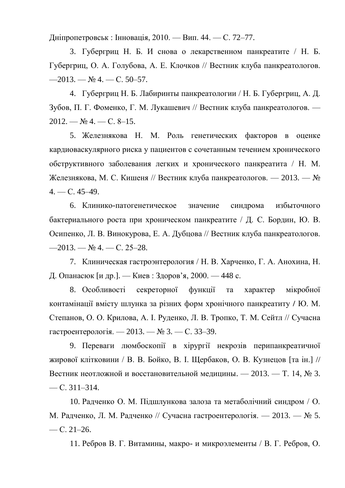Дніпропетровськ : Інновація, 2010. — Вип. 44. — С. 72–77.

3. Губергриц Н. Б. И снова о лекарственном панкреатите / Н. Б. Губергриц, О. А. Голубова, А. Е. Клочков // Вестник клуба панкреатологов.  $-2013. - N_2 4. - C. 50-57.$ 

4. Губергриц Н. Б. Лабиринты панкреатологии / Н. Б. Губергриц, А. Д. Зубов, П. Г. Фоменко, Г. М. Лукашевич // Вестник клуба панкреатологов. — 2012. — № 4. — С. 8–15.

5. Железнякова Н. М. Роль генетических факторов в оценке кардиоваскулярного риска у пациентов с сочетанным течением хронического обструктивного заболевания легких и хронического панкреатита / Н. М. Железнякова, М. С. Кишеня // Вестник клуба панкреатологов. — 2013. — №  $4. - C. 45 - 49.$ 

6. Клинико-патогенетическое значение синдрома избыточного бактериального роста при хроническом панкреатите / Д. С. Бордин, Ю. В. Осипенко, Л. В. Винокурова, Е. А. Дубцова // Вестник клуба панкреатологов.  $-2013. -$  No 4. - C. 25-28.

7. Клиническая гастроэнтерология / Н. В. Харченко, Г. А. Анохина, Н. Д. Опанасюк [и др.]. — Киев : Здоров'я, 2000. — 448 с.

8. Особливості секреторної функції та характер мікробної контамінації вмісту шлунка за різних форм хронічного панкреатиту **/** Ю. М. Степанов, О. О. Крилова, А. І. Руденко, Л. В. Тропко, Т. М. Сейтл // Сучасна гастроентерологія. — 2013. — № 3. — С. 33–39.

9. Переваги люмбоскопії в хірургії некрозів перипанкреатичної жирової клітковини / В. В. Бойко, В. І. Щербаков, О. В. Кузнецов [та ін.] // Вестник неотложной и восстановительной медицины. — 2013. — Т. 14, № 3.  $-$ C. 311–314.

10. Радченко О. М. Підшлункова залоза та метаболічний синдром / О. М. Радченко, Л. М. Радченко // Сучасна гастроентерологія. — 2013. — № 5.  $-$  C. 21–26.

11. Ребров В. Г. Витамины, макро- и микроэлементы / В. Г. Ребров, О.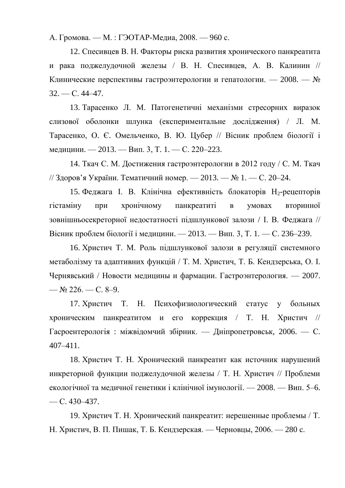А. Громова. — М. : ГЭОТАР-Медиа, 2008. — 960 с.

12. Спесивцев В. Н. Факторы риска развития хронического панкреатита и рака поджелудочной железы / В. Н. Спесивцев, А. В. Калинин // Клинические перспективы гастроэнтерологии и гепатологии. — 2008. — №  $32. - C. 44 - 47.$ 

13. Тарасенко Л. М. Патогенетичні механізми стресорних виразок слизової оболонки шлунка (експериментальне дослідження) / Л. М. Тарасенко, О. Є. Омельченко, В. Ю. Цубер // Вісник проблем біології і медицини. — 2013. — Вип. 3, Т. 1. — С. 220–223.

14. Ткач С. М. Достижения гастроэнтерологии в 2012 году / С. М. Ткач // Здоров'я України. Тематичний номер. — 2013. — № 1. — С. 20–24.

15. Феджага І. В. Клінічна ефективність блокаторів Н<sub>2</sub>-рецепторів гістаміну при хронічному панкреатиті в умовах вторинної зовнішньосекреторної недостатності підшлункової залози / І. В. Феджага // Вісник проблем біології і медицини. — 2013. — Вип. 3, Т. 1. — С. 236–239.

16. Христич Т. М. Роль підшлункової залози в регуляції системного метаболізму та адаптивних функцій / Т. М. Христич, Т. Б. Кендзерська, О. І. Чернявський / Новости медицины и фармации. Гастроэнтерология. — 2007. — № 226. — С. 8–9.

17. Христич Т. Н. Психофизиологический статус у больных хроническим панкреатитом и его коррекция / Т. Н. Христич // Гасроентерологія : міжвідомчий збірник. — Дніпропетровськ, 2006. — С. 407–411.

18. Христич Т. Н. Хронический панкреатит как источник нарушений инкреторной функции поджелудочной железы / Т. Н. Христич // Проблеми екологічної та медичної генетики і клінічної імунології. — 2008. — Вип. 5–6. — С. 430–437.

19. Христич Т. Н. Хронический панкреатит: нерешенные проблемы / Т. Н. Христич, В. П. Пишак, Т. Б. Кендзерская. — Черновцы, 2006. — 280 с.